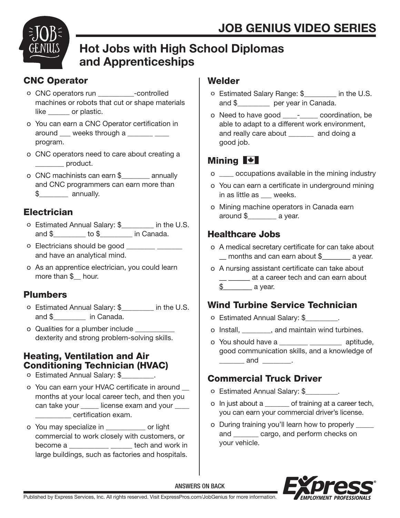

# Hot Jobs with High School Diplomas and Apprenticeships

# CNC Operator

- o CNC operators run \_\_\_\_\_\_\_\_\_\_-controlled machines or robots that cut or shape materials like or plastic.
- o You can earn a CNC Operator certification in around \_\_\_ weeks through a \_\_\_\_\_\_ \_\_\_ program.
- o CNC operators need to care about creating a dentity product.
- o CNC machinists can earn \$\_\_\_\_\_\_\_\_ annually and CNC programmers can earn more than \$\_\_\_\_\_\_\_\_ annually.

# **Electrician**

- o Estimated Annual Salary: \$\_\_\_\_\_\_\_\_\_ in the U.S. and \$\_\_\_\_\_\_\_\_\_ to \$\_\_\_\_\_\_\_\_\_ in Canada.
- o Electricians should be good and have an analytical mind.
- o As an apprentice electrician, you could learn more than \$\_\_ hour.

## Plumbers

- o Estimated Annual Salary: \$\_\_\_\_\_\_\_\_\_ in the U.S. and \$ in Canada.
- o Qualities for a plumber include dexterity and strong problem-solving skills.

### Heating, Ventilation and Air Conditioning Technician (HVAC)

- o Estimated Annual Salary: \$\_\_\_\_\_\_\_\_\_.
- o You can earn your HVAC certificate in around \_\_ months at your local career tech, and then you can take your license exam and your \_\_\_\_\_\_\_\_\_\_ certification exam.
- o You may specialize in \_\_\_\_\_\_\_\_\_\_\_ or light commercial to work closely with customers, or become a \_\_\_\_\_\_\_\_\_\_\_ \_\_\_\_\_\_ tech and work in large buildings, such as factories and hospitals.

### **Welder**

- o Estimated Salary Range: \$\_\_\_\_\_\_\_\_\_ in the U.S. and \$\_\_\_\_\_\_\_\_\_ per year in Canada.
- o Need to have good \_\_\_\_-\_\_\_\_\_ coordination, be able to adapt to a different work environment, and really care about \_\_\_\_\_\_\_ and doing a good job.

# Mining **N**

- o \_\_\_\_ occupations available in the mining industry
- o You can earn a certificate in underground mining in as little as weeks.
- o Mining machine operators in Canada earn around \$\_\_\_\_\_\_\_\_ a year.

## Healthcare Jobs

- o A medical secretary certificate for can take about months and can earn about \$ \_\_\_\_\_\_ a year.
- o A nursing assistant certificate can take about \_\_ \_\_\_\_\_\_ at a career tech and can earn about  $\text{\$} \qquad \qquad$  a year.

# Wind Turbine Service Technician

- o Estimated Annual Salary: \$\_\_\_\_\_\_\_\_\_.
- o Install, \_\_\_\_\_\_\_\_, and maintain wind turbines.
- o You should have a \_\_\_\_\_\_\_\_ \_\_\_\_\_\_\_\_\_ aptitude, good communication skills, and a knowledge of  $and$   $\qquad$ .

# Commercial Truck Driver

- o Estimated Annual Salary: \$\_\_\_\_\_\_\_\_\_.
- o In just about a \_\_\_\_\_\_\_ of training at a career tech, you can earn your commercial driver's license.
- o During training you'll learn how to properly \_\_\_\_\_ and \_\_\_\_\_\_\_ cargo, and perform checks on your vehicle.



ANSWERS ON BACK